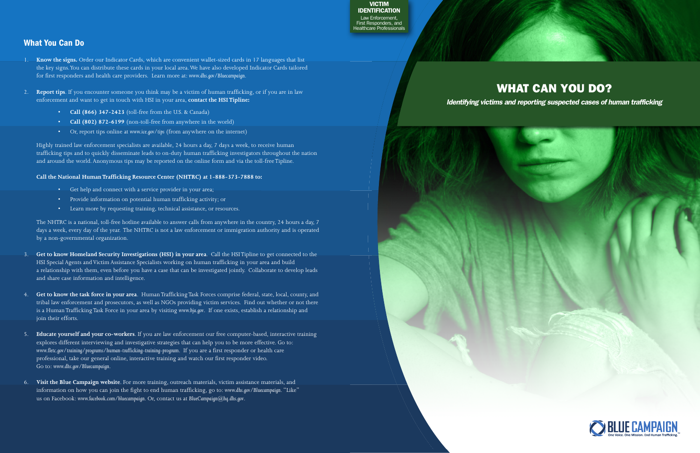## What You Can Do

- 1. **Know the signs.** Order our Indicator Cards, which are convenient wallet-sized cards in 17 languages that list the key signs. You can distribute these cards in your local area. We have also developed Indicator Cards tailored for first responders and health care providers. Learn more at: *www.dhs.gov/Bluecampaign*.
- 2. **Report tips**. If you encounter someone you think may be a victim of human trafficking, or if you are in law enforcement and want to get in touch with HSI in your area, **contact the HSI Tipline:**
	- **Call (866) 347-2423** (toll-free from the U.S. & Canada)
	- **Call (802) 872-6199** (non-toll-free from anywhere in the world)
	- Or, report tips online at *www.ice.gov/tips* (from anywhere on the internet)

Highly trained law enforcement specialists are available, 24 hours a day, 7 days a week, to receive human trafficking tips and to quickly disseminate leads to on-duty human trafficking investigators throughout the nation and around the world. Anonymous tips may be reported on the online form and via the toll-free Tipline.

### **Call the National Human Trafficking Resource Center (NHTRC) at 1-888-373-7888 to:**

- Get help and connect with a service provider in your area;
- Provide information on potential human trafficking activity; or
- Learn more by requesting training, technical assistance, or resources.

The NHTRC is a national, toll-free hotline available to answer calls from anywhere in the country, 24 hours a day, 7 days a week, every day of the year. The NHTRC is not a law enforcement or immigration authority and is operated by a non-governmental organization.

**Blue Campaign** la<br>irs<br>alt VICTIM IDENTIFICATION Law Enforcement, First Responders, and Healthcare Professionals

- 3. **Get to know Homeland Security Investigations (HSI) in your area**. Call the HSI Tipline to get connected to the HSI Special Agents and Victim Assistance Specialists working on human trafficking in your area and build a relationship with them, even before you have a case that can be investigated jointly. Collaborate to develop leads and share case information and intelligence.
- 4. **Get to know the task force in your area**. Human Trafficking Task Forces comprise federal, state, local, county, and tribal law enforcement and prosecutors, as well as NGOs providing victim services. Find out whether or not there is a Human Trafficking Task Force in your area by visiting *www.bja.gov*. If one exists, establish a relationship and join their efforts.
- 5. **Educate yourself and your co-workers**. If you are law enforcement our free computer-based, interactive training explores different interviewing and investigative strategies that can help you to be more effective. Go to: *www.fletc.gov/training/programs/human-trafficking-training-program*. If you are a first responder or health care professional, take our general online, interactive training and watch our first responder video. Go to: *www.dhs.gov/Bluecampaign*.
- 6. **Visit the Blue Campaign website**. For more training, outreach materials, victim assistance materials, and information on how you can join the fight to end human trafficking, go to: *www.dhs.gov/Bluecampaign*. "Like" us on Facebook: *www.facebook.com/bluecampaign*. Or, contact us at *BlueCampaign@hq.dhs.gov*.

# WHAT CAN YOU DO?

*Identifying victims and reporting suspected cases of human trafficking*